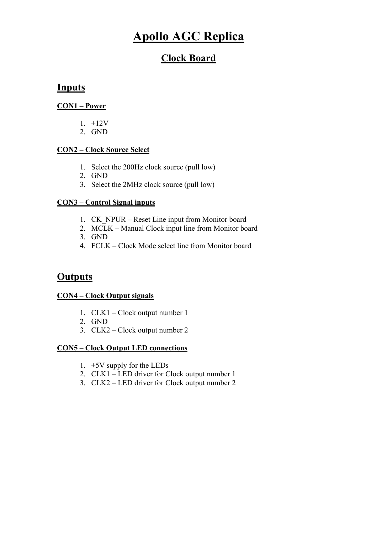# Apollo AGC Replica

## Clock Board

### **Inputs**

#### CON1 – Power

- 1. +12V
- 2. GND

#### CON2 – Clock Source Select

- 1. Select the 200Hz clock source (pull low)
- 2. GND
- 3. Select the 2MHz clock source (pull low)

#### CON3 – Control Signal inputs

- 1. CK\_NPUR Reset Line input from Monitor board
- 2. MCLK Manual Clock input line from Monitor board
- 3. GND
- 4. FCLK Clock Mode select line from Monitor board

### **Outputs**

#### CON4 – Clock Output signals

- 1. CLK1 Clock output number 1
- 2. GND
- 3. CLK2 Clock output number 2

#### CON5 – Clock Output LED connections

- 1. +5V supply for the LEDs
- 2. CLK1 LED driver for Clock output number 1
- 3. CLK2 LED driver for Clock output number 2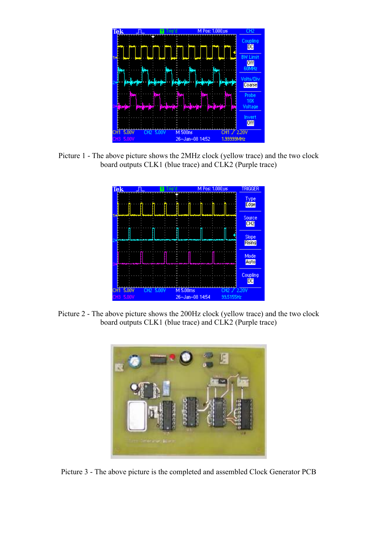

Picture 1 - The above picture shows the 2MHz clock (yellow trace) and the two clock board outputs CLK1 (blue trace) and CLK2 (Purple trace)



Picture 2 - The above picture shows the 200Hz clock (yellow trace) and the two clock board outputs CLK1 (blue trace) and CLK2 (Purple trace)



Picture 3 - The above picture is the completed and assembled Clock Generator PCB